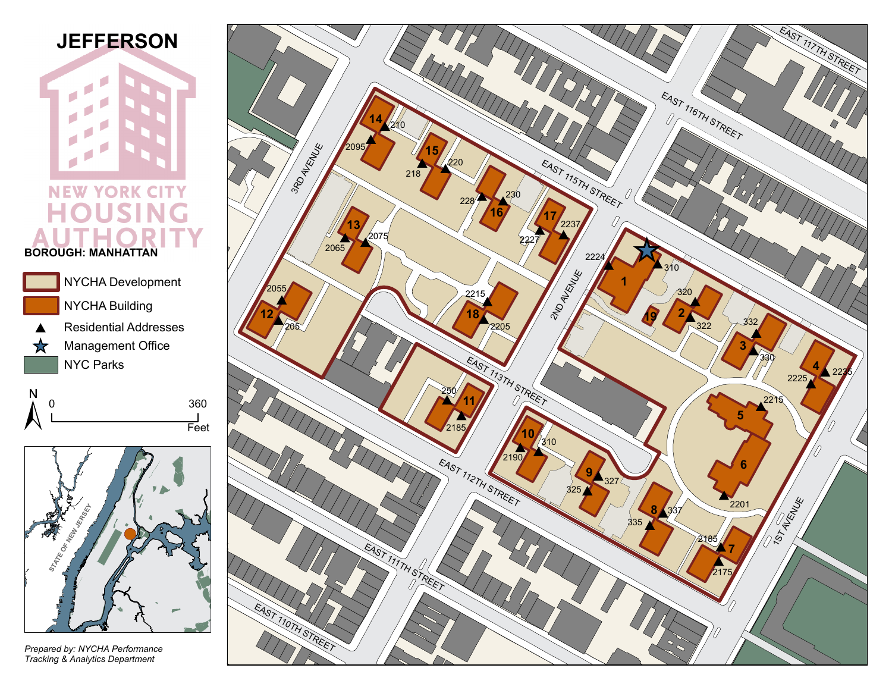## **JEFFERSON**

**NEW YORK CITY** OU н SI G **BOROUGH: MANHATTAN**







*Prepared by: NYCHA Performance Tracking & Analytics Department*

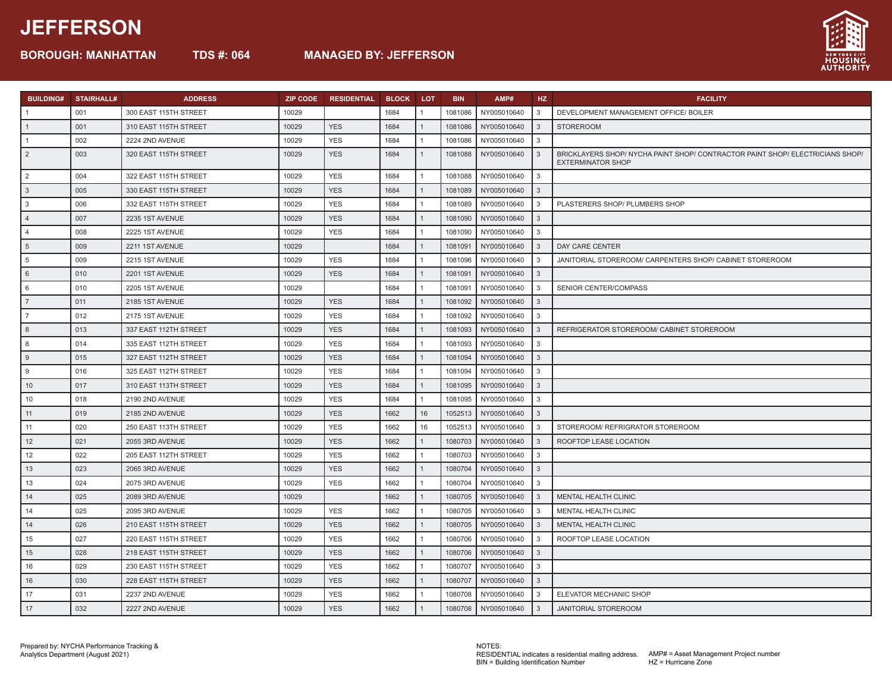## **JEFFERSON**

**BOROUGH: MANHATTAN TDS #: 064 MANAGED BY: JEFFERSON**



| <b>BUILDING#</b> | STAIRHALL# | <b>ADDRESS</b>        | <b>ZIP CODE</b> | <b>RESIDENTIAL</b> | <b>BLOCK</b> | <b>LOT</b>           | <b>BIN</b> | AMP#                | HZ           | <b>FACILITY</b>                                                                                           |
|------------------|------------|-----------------------|-----------------|--------------------|--------------|----------------------|------------|---------------------|--------------|-----------------------------------------------------------------------------------------------------------|
|                  | 001        | 300 EAST 115TH STREET | 10029           |                    | 1684         |                      | 1081086    | NY005010640         | 3            | DEVELOPMENT MANAGEMENT OFFICE/ BOILER                                                                     |
|                  | 001        | 310 EAST 115TH STREET | 10029           | <b>YES</b>         | 1684         | $\blacktriangleleft$ | 1081086    | NY005010640         | 3            | <b>STOREROOM</b>                                                                                          |
| $\overline{1}$   | 002        | 2224 2ND AVENUE       | 10029           | <b>YES</b>         | 1684         |                      | 1081086    | NY005010640         | 3            |                                                                                                           |
| $\sqrt{2}$       | 003        | 320 EAST 115TH STREET | 10029           | <b>YES</b>         | 1684         | $\overline{1}$       | 1081088    | NY005010640         | 3            | BRICKLAYERS SHOP/ NYCHA PAINT SHOP/ CONTRACTOR PAINT SHOP/ ELECTRICIANS SHOP/<br><b>EXTERMINATOR SHOP</b> |
| 2                | 004        | 322 EAST 115TH STREET | 10029           | <b>YES</b>         | 1684         |                      | 1081088    | NY005010640         | 3            |                                                                                                           |
| $\sqrt{3}$       | 005        | 330 EAST 115TH STREET | 10029           | <b>YES</b>         | 1684         |                      | 1081089    | NY005010640         | 3            |                                                                                                           |
| $\mathbf{3}$     | 006        | 332 EAST 115TH STREET | 10029           | <b>YES</b>         | 1684         |                      | 1081089    | NY005010640         | 3            | PLASTERERS SHOP/ PLUMBERS SHOP                                                                            |
| $\vert$ 4        | 007        | 2235 1ST AVENUE       | 10029           | <b>YES</b>         | 1684         |                      | 1081090    | NY005010640         | 3            |                                                                                                           |
| $\overline{4}$   | 008        | 2225 1ST AVENUE       | 10029           | <b>YES</b>         | 1684         |                      | 1081090    | NY005010640         | 3            |                                                                                                           |
| 5                | 009        | 2211 1ST AVENUE       | 10029           |                    | 1684         |                      | 1081091    | NY005010640         | 3            | DAY CARE CENTER                                                                                           |
| $5\phantom{.0}$  | 009        | 2215 1ST AVENUE       | 10029           | <b>YES</b>         | 1684         |                      | 1081096    | NY005010640         | 3            | JANITORIAL STOREROOM/ CARPENTERS SHOP/ CABINET STOREROOM                                                  |
| 6                | 010        | 2201 1ST AVENUE       | 10029           | <b>YES</b>         | 1684         |                      | 1081091    | NY005010640         | $\mathbf{3}$ |                                                                                                           |
| 6                | 010        | 2205 1ST AVENUE       | 10029           |                    | 1684         |                      | 1081091    | NY005010640         | 3            | SENIOR CENTER/COMPASS                                                                                     |
| 7                | 011        | 2185 1ST AVENUE       | 10029           | <b>YES</b>         | 1684         |                      | 1081092    | NY005010640         | 3            |                                                                                                           |
| $\overline{7}$   | 012        | 2175 1ST AVENUE       | 10029           | <b>YES</b>         | 1684         |                      | 1081092    | NY005010640         | 3            |                                                                                                           |
| 8                | 013        | 337 EAST 112TH STREET | 10029           | <b>YES</b>         | 1684         |                      | 1081093    | NY005010640         | 3            | REFRIGERATOR STOREROOM/ CABINET STOREROOM                                                                 |
| 8                | 014        | 335 EAST 112TH STREET | 10029           | <b>YES</b>         | 1684         |                      | 1081093    | NY005010640         | 3            |                                                                                                           |
| 9                | 015        | 327 EAST 112TH STREET | 10029           | <b>YES</b>         | 1684         |                      | 1081094    | NY005010640         | 3            |                                                                                                           |
| 9                | 016        | 325 EAST 112TH STREET | 10029           | <b>YES</b>         | 1684         |                      | 1081094    | NY005010640         | 3            |                                                                                                           |
| 10               | 017        | 310 EAST 113TH STREET | 10029           | <b>YES</b>         | 1684         | $\mathbf{1}$         | 1081095    | NY005010640         | 3            |                                                                                                           |
| 10               | 018        | 2190 2ND AVENUE       | 10029           | <b>YES</b>         | 1684         | $\overline{1}$       | 1081095    | NY005010640         | 3            |                                                                                                           |
| 11               | 019        | 2185 2ND AVENUE       | 10029           | <b>YES</b>         | 1662         | 16                   | 1052513    | NY005010640         | 3            |                                                                                                           |
| 11               | 020        | 250 EAST 113TH STREET | 10029           | <b>YES</b>         | 1662         | 16                   | 1052513    | NY005010640         | 3            | STOREROOM/ REFRIGRATOR STOREROOM                                                                          |
| 12               | 021        | 2055 3RD AVENUE       | 10029           | <b>YES</b>         | 1662         |                      | 1080703    | NY005010640         | 3            | ROOFTOP LEASE LOCATION                                                                                    |
| 12               | 022        | 205 EAST 112TH STREET | 10029           | <b>YES</b>         | 1662         | -1                   | 1080703    | NY005010640         | 3            |                                                                                                           |
| 13               | 023        | 2065 3RD AVENUE       | 10029           | <b>YES</b>         | 1662         |                      | 1080704    | NY005010640         | 3            |                                                                                                           |
| 13               | 024        | 2075 3RD AVENUE       | 10029           | <b>YES</b>         | 1662         |                      | 1080704    | NY005010640         | 3            |                                                                                                           |
| 14               | 025        | 2089 3RD AVENUE       | 10029           |                    | 1662         | $\mathbf{1}$         | 1080705    | NY005010640         | 3            | <b>MENTAL HEALTH CLINIC</b>                                                                               |
| 14               | 025        | 2095 3RD AVENUE       | 10029           | <b>YES</b>         | 1662         |                      | 1080705    | NY005010640         | 3            | MENTAL HEALTH CLINIC                                                                                      |
| 14               | 026        | 210 EAST 115TH STREET | 10029           | <b>YES</b>         | 1662         | $\overline{1}$       | 1080705    | NY005010640         | 3            | MENTAL HEALTH CLINIC                                                                                      |
| 15               | 027        | 220 EAST 115TH STREET | 10029           | <b>YES</b>         | 1662         | $\overline{1}$       | 1080706    | NY005010640         | 3            | ROOFTOP LEASE LOCATION                                                                                    |
| 15               | 028        | 218 EAST 115TH STREET | 10029           | <b>YES</b>         | 1662         | $\overline{1}$       | 1080706    | NY005010640         | 3            |                                                                                                           |
| 16               | 029        | 230 EAST 115TH STREET | 10029           | <b>YES</b>         | 1662         | $\mathbf{1}$         | 1080707    | NY005010640         | 3            |                                                                                                           |
| 16               | 030        | 228 EAST 115TH STREET | 10029           | <b>YES</b>         | 1662         | $\mathbf{1}$         | 1080707    | NY005010640         | 3            |                                                                                                           |
| 17               | 031        | 2237 2ND AVENUE       | 10029           | <b>YES</b>         | 1662         | $\mathbf{1}$         | 1080708    | NY005010640         | 3            | ELEVATOR MECHANIC SHOP                                                                                    |
| $\vert$ 17       | 032        | 2227 2ND AVENUE       | 10029           | <b>YES</b>         | 1662         | $\overline{1}$       |            | 1080708 NY005010640 | $\mathbf{3}$ | <b>JANITORIAL STOREROOM</b>                                                                               |